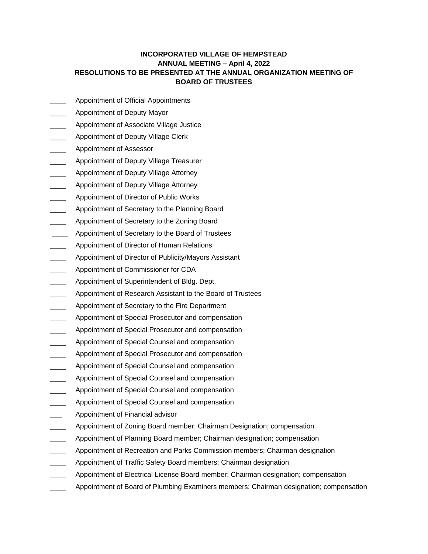## **INCORPORATED VILLAGE OF HEMPSTEAD ANNUAL MEETING – April 4, 2022 RESOLUTIONS TO BE PRESENTED AT THE ANNUAL ORGANIZATION MEETING OF BOARD OF TRUSTEES**

- Appointment of Official Appointments
- \_\_\_\_ Appointment of Deputy Mayor
- Appointment of Associate Village Justice
- Appointment of Deputy Village Clerk
- \_\_\_\_ Appointment of Assessor
- Appointment of Deputy Village Treasurer
- **\_\_\_\_\_** Appointment of Deputy Village Attorney
- Appointment of Deputy Village Attorney
- Appointment of Director of Public Works
- Appointment of Secretary to the Planning Board
- Appointment of Secretary to the Zoning Board
- Appointment of Secretary to the Board of Trustees
- Appointment of Director of Human Relations
- Appointment of Director of Publicity/Mayors Assistant
- \_\_\_\_ Appointment of Commissioner for CDA
- Appointment of Superintendent of Bldg. Dept.
- Appointment of Research Assistant to the Board of Trustees
- Appointment of Secretary to the Fire Department
- Appointment of Special Prosecutor and compensation
- Appointment of Special Prosecutor and compensation
- Appointment of Special Counsel and compensation
- Appointment of Special Prosecutor and compensation
- Appointment of Special Counsel and compensation
- Appointment of Special Counsel and compensation
- Appointment of Special Counsel and compensation
- Appointment of Special Counsel and compensation
- Appointment of Financial advisor
- Appointment of Zoning Board member; Chairman Designation; compensation
- Appointment of Planning Board member; Chairman designation; compensation
- Appointment of Recreation and Parks Commission members; Chairman designation
- Appointment of Traffic Safety Board members; Chairman designation
- Appointment of Electrical License Board member; Chairman designation; compensation
- Appointment of Board of Plumbing Examiners members; Chairman designation; compensation